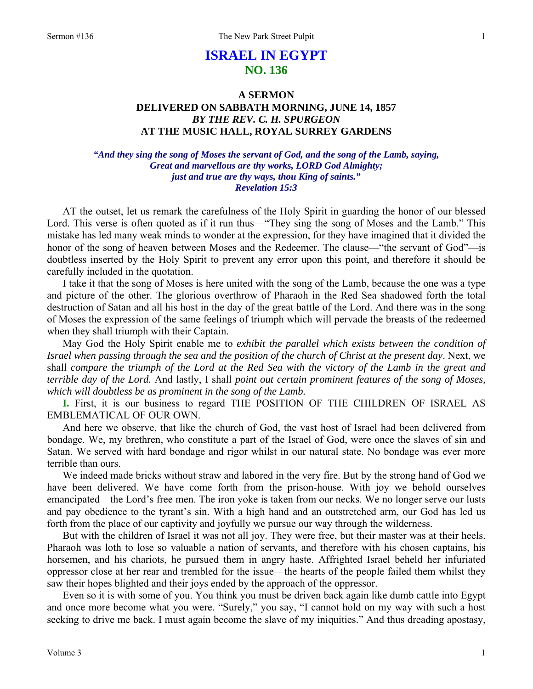# **ISRAEL IN EGYPT NO. 136**

## **A SERMON DELIVERED ON SABBATH MORNING, JUNE 14, 1857**  *BY THE REV. C. H. SPURGEON*  **AT THE MUSIC HALL, ROYAL SURREY GARDENS**

### *"And they sing the song of Moses the servant of God, and the song of the Lamb, saying, Great and marvellous are thy works, LORD God Almighty; just and true are thy ways, thou King of saints." Revelation 15:3*

AT the outset, let us remark the carefulness of the Holy Spirit in guarding the honor of our blessed Lord. This verse is often quoted as if it run thus—"They sing the song of Moses and the Lamb." This mistake has led many weak minds to wonder at the expression, for they have imagined that it divided the honor of the song of heaven between Moses and the Redeemer. The clause—"the servant of God"—is doubtless inserted by the Holy Spirit to prevent any error upon this point, and therefore it should be carefully included in the quotation.

I take it that the song of Moses is here united with the song of the Lamb, because the one was a type and picture of the other. The glorious overthrow of Pharaoh in the Red Sea shadowed forth the total destruction of Satan and all his host in the day of the great battle of the Lord. And there was in the song of Moses the expression of the same feelings of triumph which will pervade the breasts of the redeemed when they shall triumph with their Captain.

May God the Holy Spirit enable me to *exhibit the parallel which exists between the condition of Israel when passing through the sea and the position of the church of Christ at the present day*. Next, we shall *compare the triumph of the Lord at the Red Sea with the victory of the Lamb in the great and terrible day of the Lord.* And lastly, I shall *point out certain prominent features of the song of Moses, which will doubtless be as prominent in the song of the Lamb.*

**I.** First, it is our business to regard THE POSITION OF THE CHILDREN OF ISRAEL AS EMBLEMATICAL OF OUR OWN.

And here we observe, that like the church of God, the vast host of Israel had been delivered from bondage. We, my brethren, who constitute a part of the Israel of God, were once the slaves of sin and Satan. We served with hard bondage and rigor whilst in our natural state. No bondage was ever more terrible than ours.

We indeed made bricks without straw and labored in the very fire. But by the strong hand of God we have been delivered. We have come forth from the prison-house. With joy we behold ourselves emancipated—the Lord's free men. The iron yoke is taken from our necks. We no longer serve our lusts and pay obedience to the tyrant's sin. With a high hand and an outstretched arm, our God has led us forth from the place of our captivity and joyfully we pursue our way through the wilderness.

But with the children of Israel it was not all joy. They were free, but their master was at their heels. Pharaoh was loth to lose so valuable a nation of servants, and therefore with his chosen captains, his horsemen, and his chariots, he pursued them in angry haste. Affrighted Israel beheld her infuriated oppressor close at her rear and trembled for the issue—the hearts of the people failed them whilst they saw their hopes blighted and their joys ended by the approach of the oppressor.

Even so it is with some of you. You think you must be driven back again like dumb cattle into Egypt and once more become what you were. "Surely," you say, "I cannot hold on my way with such a host seeking to drive me back. I must again become the slave of my iniquities." And thus dreading apostasy,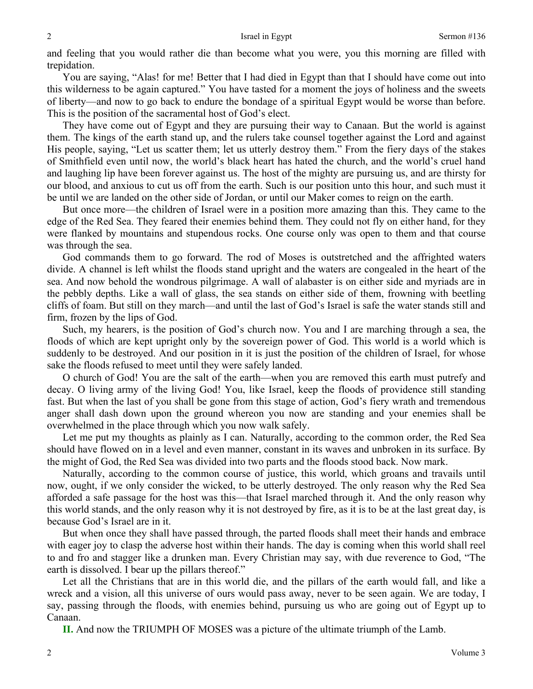and feeling that you would rather die than become what you were, you this morning are filled with trepidation.

You are saying, "Alas! for me! Better that I had died in Egypt than that I should have come out into this wilderness to be again captured." You have tasted for a moment the joys of holiness and the sweets of liberty—and now to go back to endure the bondage of a spiritual Egypt would be worse than before. This is the position of the sacramental host of God's elect.

They have come out of Egypt and they are pursuing their way to Canaan. But the world is against them. The kings of the earth stand up, and the rulers take counsel together against the Lord and against His people, saying, "Let us scatter them; let us utterly destroy them." From the fiery days of the stakes of Smithfield even until now, the world's black heart has hated the church, and the world's cruel hand and laughing lip have been forever against us. The host of the mighty are pursuing us, and are thirsty for our blood, and anxious to cut us off from the earth. Such is our position unto this hour, and such must it be until we are landed on the other side of Jordan, or until our Maker comes to reign on the earth.

But once more—the children of Israel were in a position more amazing than this. They came to the edge of the Red Sea. They feared their enemies behind them. They could not fly on either hand, for they were flanked by mountains and stupendous rocks. One course only was open to them and that course was through the sea.

God commands them to go forward. The rod of Moses is outstretched and the affrighted waters divide. A channel is left whilst the floods stand upright and the waters are congealed in the heart of the sea. And now behold the wondrous pilgrimage. A wall of alabaster is on either side and myriads are in the pebbly depths. Like a wall of glass, the sea stands on either side of them, frowning with beetling cliffs of foam. But still on they march—and until the last of God's Israel is safe the water stands still and firm, frozen by the lips of God.

Such, my hearers, is the position of God's church now. You and I are marching through a sea, the floods of which are kept upright only by the sovereign power of God. This world is a world which is suddenly to be destroyed. And our position in it is just the position of the children of Israel, for whose sake the floods refused to meet until they were safely landed.

O church of God! You are the salt of the earth—when you are removed this earth must putrefy and decay. O living army of the living God! You, like Israel, keep the floods of providence still standing fast. But when the last of you shall be gone from this stage of action, God's fiery wrath and tremendous anger shall dash down upon the ground whereon you now are standing and your enemies shall be overwhelmed in the place through which you now walk safely.

Let me put my thoughts as plainly as I can. Naturally, according to the common order, the Red Sea should have flowed on in a level and even manner, constant in its waves and unbroken in its surface. By the might of God, the Red Sea was divided into two parts and the floods stood back. Now mark.

Naturally, according to the common course of justice, this world, which groans and travails until now, ought, if we only consider the wicked, to be utterly destroyed. The only reason why the Red Sea afforded a safe passage for the host was this—that Israel marched through it. And the only reason why this world stands, and the only reason why it is not destroyed by fire, as it is to be at the last great day, is because God's Israel are in it.

But when once they shall have passed through, the parted floods shall meet their hands and embrace with eager joy to clasp the adverse host within their hands. The day is coming when this world shall reel to and fro and stagger like a drunken man. Every Christian may say, with due reverence to God, "The earth is dissolved. I bear up the pillars thereof."

Let all the Christians that are in this world die, and the pillars of the earth would fall, and like a wreck and a vision, all this universe of ours would pass away, never to be seen again. We are today, I say, passing through the floods, with enemies behind, pursuing us who are going out of Egypt up to Canaan.

**II.** And now the TRIUMPH OF MOSES was a picture of the ultimate triumph of the Lamb.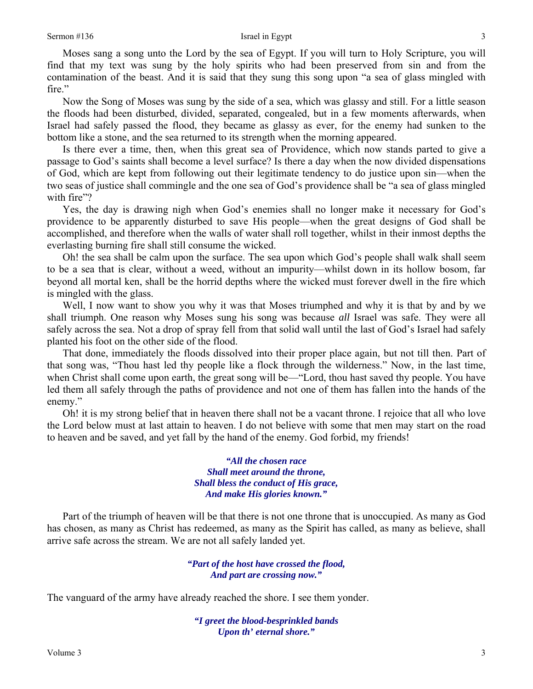### Sermon #136 Israel in Egypt

Moses sang a song unto the Lord by the sea of Egypt. If you will turn to Holy Scripture, you will find that my text was sung by the holy spirits who had been preserved from sin and from the contamination of the beast. And it is said that they sung this song upon "a sea of glass mingled with fire."

Now the Song of Moses was sung by the side of a sea, which was glassy and still. For a little season the floods had been disturbed, divided, separated, congealed, but in a few moments afterwards, when Israel had safely passed the flood, they became as glassy as ever, for the enemy had sunken to the bottom like a stone, and the sea returned to its strength when the morning appeared.

Is there ever a time, then, when this great sea of Providence, which now stands parted to give a passage to God's saints shall become a level surface? Is there a day when the now divided dispensations of God, which are kept from following out their legitimate tendency to do justice upon sin—when the two seas of justice shall commingle and the one sea of God's providence shall be "a sea of glass mingled with fire"?

Yes, the day is drawing nigh when God's enemies shall no longer make it necessary for God's providence to be apparently disturbed to save His people—when the great designs of God shall be accomplished, and therefore when the walls of water shall roll together, whilst in their inmost depths the everlasting burning fire shall still consume the wicked.

Oh! the sea shall be calm upon the surface. The sea upon which God's people shall walk shall seem to be a sea that is clear, without a weed, without an impurity—whilst down in its hollow bosom, far beyond all mortal ken, shall be the horrid depths where the wicked must forever dwell in the fire which is mingled with the glass.

Well, I now want to show you why it was that Moses triumphed and why it is that by and by we shall triumph. One reason why Moses sung his song was because *all* Israel was safe. They were all safely across the sea. Not a drop of spray fell from that solid wall until the last of God's Israel had safely planted his foot on the other side of the flood.

That done, immediately the floods dissolved into their proper place again, but not till then. Part of that song was, "Thou hast led thy people like a flock through the wilderness." Now, in the last time, when Christ shall come upon earth, the great song will be—"Lord, thou hast saved thy people. You have led them all safely through the paths of providence and not one of them has fallen into the hands of the enemy."

Oh! it is my strong belief that in heaven there shall not be a vacant throne. I rejoice that all who love the Lord below must at last attain to heaven. I do not believe with some that men may start on the road to heaven and be saved, and yet fall by the hand of the enemy. God forbid, my friends!

> *"All the chosen race Shall meet around the throne, Shall bless the conduct of His grace, And make His glories known."*

Part of the triumph of heaven will be that there is not one throne that is unoccupied. As many as God has chosen, as many as Christ has redeemed, as many as the Spirit has called, as many as believe, shall arrive safe across the stream. We are not all safely landed yet.

> *"Part of the host have crossed the flood, And part are crossing now."*

The vanguard of the army have already reached the shore. I see them yonder.

*"I greet the blood-besprinkled bands Upon th' eternal shore."* 

3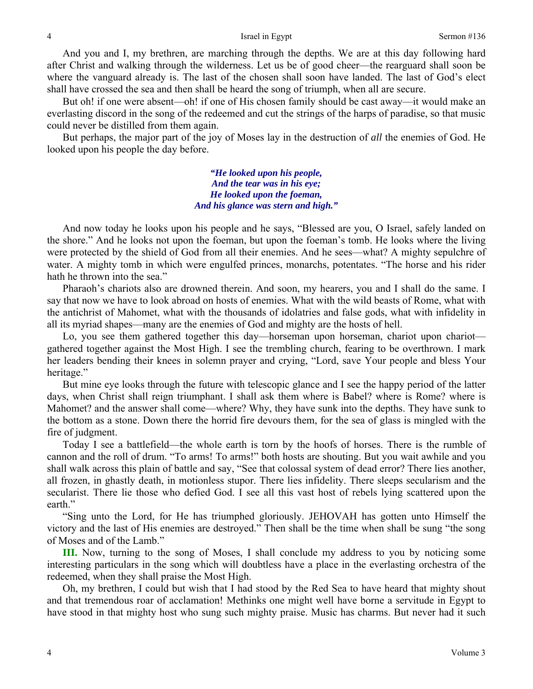And you and I, my brethren, are marching through the depths. We are at this day following hard after Christ and walking through the wilderness. Let us be of good cheer—the rearguard shall soon be where the vanguard already is. The last of the chosen shall soon have landed. The last of God's elect shall have crossed the sea and then shall be heard the song of triumph, when all are secure.

But oh! if one were absent—oh! if one of His chosen family should be cast away—it would make an everlasting discord in the song of the redeemed and cut the strings of the harps of paradise, so that music could never be distilled from them again.

But perhaps, the major part of the joy of Moses lay in the destruction of *all* the enemies of God. He looked upon his people the day before.

> *"He looked upon his people, And the tear was in his eye; He looked upon the foeman, And his glance was stern and high."*

And now today he looks upon his people and he says, "Blessed are you, O Israel, safely landed on the shore." And he looks not upon the foeman, but upon the foeman's tomb. He looks where the living were protected by the shield of God from all their enemies. And he sees—what? A mighty sepulchre of water. A mighty tomb in which were engulfed princes, monarchs, potentates. "The horse and his rider hath he thrown into the sea."

Pharaoh's chariots also are drowned therein. And soon, my hearers, you and I shall do the same. I say that now we have to look abroad on hosts of enemies. What with the wild beasts of Rome, what with the antichrist of Mahomet, what with the thousands of idolatries and false gods, what with infidelity in all its myriad shapes—many are the enemies of God and mighty are the hosts of hell.

Lo, you see them gathered together this day—horseman upon horseman, chariot upon chariot gathered together against the Most High. I see the trembling church, fearing to be overthrown. I mark her leaders bending their knees in solemn prayer and crying, "Lord, save Your people and bless Your heritage."

But mine eye looks through the future with telescopic glance and I see the happy period of the latter days, when Christ shall reign triumphant. I shall ask them where is Babel? where is Rome? where is Mahomet? and the answer shall come—where? Why, they have sunk into the depths. They have sunk to the bottom as a stone. Down there the horrid fire devours them, for the sea of glass is mingled with the fire of judgment.

Today I see a battlefield—the whole earth is torn by the hoofs of horses. There is the rumble of cannon and the roll of drum. "To arms! To arms!" both hosts are shouting. But you wait awhile and you shall walk across this plain of battle and say, "See that colossal system of dead error? There lies another, all frozen, in ghastly death, in motionless stupor. There lies infidelity. There sleeps secularism and the secularist. There lie those who defied God. I see all this vast host of rebels lying scattered upon the earth."

"Sing unto the Lord, for He has triumphed gloriously. JEHOVAH has gotten unto Himself the victory and the last of His enemies are destroyed." Then shall be the time when shall be sung "the song of Moses and of the Lamb."

**III.** Now, turning to the song of Moses, I shall conclude my address to you by noticing some interesting particulars in the song which will doubtless have a place in the everlasting orchestra of the redeemed, when they shall praise the Most High.

Oh, my brethren, I could but wish that I had stood by the Red Sea to have heard that mighty shout and that tremendous roar of acclamation! Methinks one might well have borne a servitude in Egypt to have stood in that mighty host who sung such mighty praise. Music has charms. But never had it such

4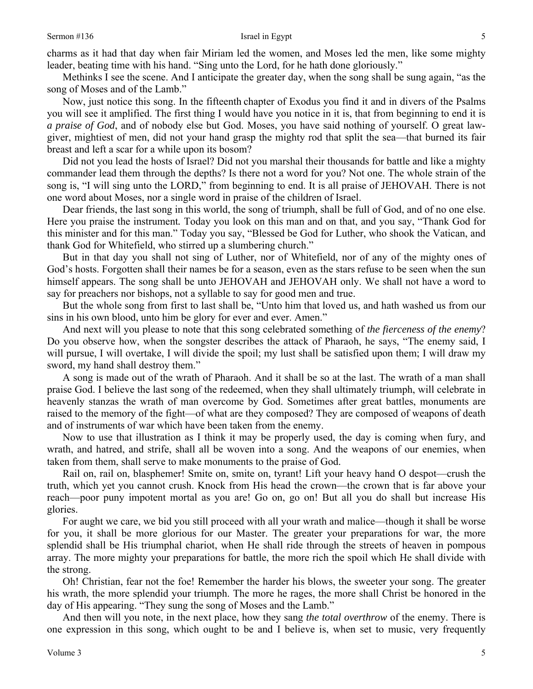charms as it had that day when fair Miriam led the women, and Moses led the men, like some mighty leader, beating time with his hand. "Sing unto the Lord, for he hath done gloriously."

Methinks I see the scene. And I anticipate the greater day, when the song shall be sung again, "as the song of Moses and of the Lamb."

Now, just notice this song. In the fifteenth chapter of Exodus you find it and in divers of the Psalms you will see it amplified. The first thing I would have you notice in it is, that from beginning to end it is *a praise of God*, and of nobody else but God. Moses, you have said nothing of yourself. O great lawgiver, mightiest of men, did not your hand grasp the mighty rod that split the sea—that burned its fair breast and left a scar for a while upon its bosom?

Did not you lead the hosts of Israel? Did not you marshal their thousands for battle and like a mighty commander lead them through the depths? Is there not a word for you? Not one. The whole strain of the song is, "I will sing unto the LORD," from beginning to end. It is all praise of JEHOVAH. There is not one word about Moses, nor a single word in praise of the children of Israel.

Dear friends, the last song in this world, the song of triumph, shall be full of God, and of no one else. Here you praise the instrument*.* Today you look on this man and on that, and you say, "Thank God for this minister and for this man." Today you say, "Blessed be God for Luther, who shook the Vatican, and thank God for Whitefield, who stirred up a slumbering church."

But in that day you shall not sing of Luther, nor of Whitefield, nor of any of the mighty ones of God's hosts. Forgotten shall their names be for a season, even as the stars refuse to be seen when the sun himself appears. The song shall be unto JEHOVAH and JEHOVAH only. We shall not have a word to say for preachers nor bishops, not a syllable to say for good men and true.

But the whole song from first to last shall be, "Unto him that loved us, and hath washed us from our sins in his own blood, unto him be glory for ever and ever. Amen."

And next will you please to note that this song celebrated something of *the fierceness of the enemy*? Do you observe how, when the songster describes the attack of Pharaoh, he says, "The enemy said, I will pursue, I will overtake, I will divide the spoil; my lust shall be satisfied upon them; I will draw my sword, my hand shall destroy them."

A song is made out of the wrath of Pharaoh. And it shall be so at the last. The wrath of a man shall praise God. I believe the last song of the redeemed, when they shall ultimately triumph, will celebrate in heavenly stanzas the wrath of man overcome by God. Sometimes after great battles, monuments are raised to the memory of the fight—of what are they composed? They are composed of weapons of death and of instruments of war which have been taken from the enemy.

Now to use that illustration as I think it may be properly used, the day is coming when fury, and wrath, and hatred, and strife, shall all be woven into a song. And the weapons of our enemies, when taken from them, shall serve to make monuments to the praise of God.

Rail on, rail on, blasphemer! Smite on, smite on, tyrant! Lift your heavy hand O despot—crush the truth, which yet you cannot crush. Knock from His head the crown—the crown that is far above your reach—poor puny impotent mortal as you are! Go on, go on! But all you do shall but increase His glories.

For aught we care, we bid you still proceed with all your wrath and malice—though it shall be worse for you, it shall be more glorious for our Master. The greater your preparations for war, the more splendid shall be His triumphal chariot, when He shall ride through the streets of heaven in pompous array. The more mighty your preparations for battle, the more rich the spoil which He shall divide with the strong.

Oh! Christian, fear not the foe! Remember the harder his blows, the sweeter your song. The greater his wrath, the more splendid your triumph. The more he rages, the more shall Christ be honored in the day of His appearing. "They sung the song of Moses and the Lamb."

And then will you note, in the next place, how they sang *the total overthrow* of the enemy. There is one expression in this song, which ought to be and I believe is, when set to music, very frequently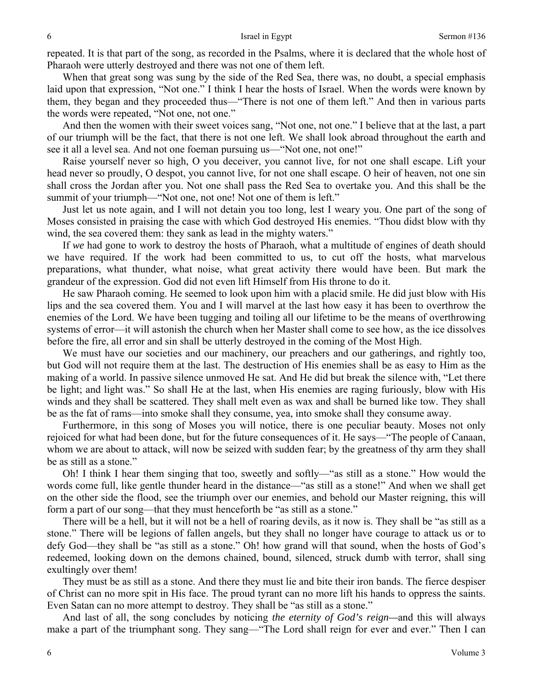repeated. It is that part of the song, as recorded in the Psalms, where it is declared that the whole host of Pharaoh were utterly destroyed and there was not one of them left.

When that great song was sung by the side of the Red Sea, there was, no doubt, a special emphasis laid upon that expression, "Not one." I think I hear the hosts of Israel. When the words were known by them, they began and they proceeded thus—"There is not one of them left." And then in various parts the words were repeated, "Not one, not one."

And then the women with their sweet voices sang, "Not one, not one." I believe that at the last, a part of our triumph will be the fact, that there is not one left. We shall look abroad throughout the earth and see it all a level sea. And not one foeman pursuing us—"Not one, not one!"

Raise yourself never so high, O you deceiver, you cannot live, for not one shall escape. Lift your head never so proudly, O despot, you cannot live, for not one shall escape. O heir of heaven, not one sin shall cross the Jordan after you. Not one shall pass the Red Sea to overtake you. And this shall be the summit of your triumph—"Not one, not one! Not one of them is left."

Just let us note again, and I will not detain you too long, lest I weary you. One part of the song of Moses consisted in praising the case with which God destroyed His enemies. "Thou didst blow with thy wind, the sea covered them: they sank as lead in the mighty waters."

If *we* had gone to work to destroy the hosts of Pharaoh, what a multitude of engines of death should we have required. If the work had been committed to us, to cut off the hosts, what marvelous preparations, what thunder, what noise, what great activity there would have been. But mark the grandeur of the expression. God did not even lift Himself from His throne to do it.

He saw Pharaoh coming. He seemed to look upon him with a placid smile. He did just blow with His lips and the sea covered them. You and I will marvel at the last how easy it has been to overthrow the enemies of the Lord. We have been tugging and toiling all our lifetime to be the means of overthrowing systems of error—it will astonish the church when her Master shall come to see how, as the ice dissolves before the fire, all error and sin shall be utterly destroyed in the coming of the Most High.

We must have our societies and our machinery, our preachers and our gatherings, and rightly too, but God will not require them at the last. The destruction of His enemies shall be as easy to Him as the making of a world. In passive silence unmoved He sat. And He did but break the silence with, "Let there be light; and light was." So shall He at the last, when His enemies are raging furiously, blow with His winds and they shall be scattered. They shall melt even as wax and shall be burned like tow. They shall be as the fat of rams—into smoke shall they consume, yea, into smoke shall they consume away.

Furthermore, in this song of Moses you will notice, there is one peculiar beauty. Moses not only rejoiced for what had been done, but for the future consequences of it. He says—"The people of Canaan, whom we are about to attack, will now be seized with sudden fear; by the greatness of thy arm they shall be as still as a stone."

Oh! I think I hear them singing that too, sweetly and softly—"as still as a stone." How would the words come full, like gentle thunder heard in the distance—"as still as a stone!" And when we shall get on the other side the flood, see the triumph over our enemies, and behold our Master reigning, this will form a part of our song—that they must henceforth be "as still as a stone."

There will be a hell, but it will not be a hell of roaring devils, as it now is. They shall be "as still as a stone." There will be legions of fallen angels, but they shall no longer have courage to attack us or to defy God—they shall be "as still as a stone." Oh! how grand will that sound, when the hosts of God's redeemed, looking down on the demons chained, bound, silenced, struck dumb with terror, shall sing exultingly over them!

They must be as still as a stone. And there they must lie and bite their iron bands. The fierce despiser of Christ can no more spit in His face. The proud tyrant can no more lift his hands to oppress the saints. Even Satan can no more attempt to destroy. They shall be "as still as a stone."

And last of all, the song concludes by noticing *the eternity of God's reign—*and this will always make a part of the triumphant song. They sang—"The Lord shall reign for ever and ever." Then I can

6